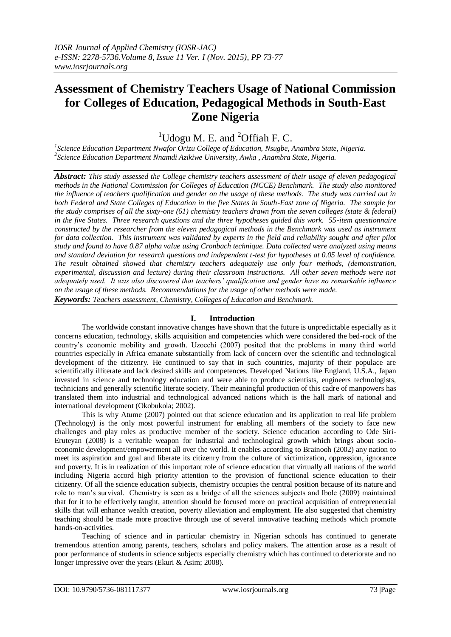# **Assessment of Chemistry Teachers Usage of National Commission for Colleges of Education, Pedagogical Methods in South-East Zone Nigeria**

<sup>1</sup>Udogu M. E. and  ${}^{2}$ Offiah F. C.

*1 Science Education Department Nwafor Orizu College of Education, Nsugbe, Anambra State, Nigeria. 2 Science Education Department Nnamdi Azikiwe University, Awka , Anambra State, Nigeria.*

*Abstract: This study assessed the College chemistry teachers assessment of their usage of eleven pedagogical methods in the National Commission for Colleges of Education (NCCE) Benchmark. The study also monitored the influence of teachers qualification and gender on the usage of these methods. The study was carried out in both Federal and State Colleges of Education in the five States in South-East zone of Nigeria. The sample for the study comprises of all the sixty-one (61) chemistry teachers drawn from the seven colleges (state & federal) in the five States. Three research questions and the three hypotheses guided this work. 55-item questionnaire constructed by the researcher from the eleven pedagogical methods in the Benchmark was used as instrument for data collection. This instrument was validated by experts in the field and reliability sought and after pilot study and found to have 0.87 alpha value using Cronbach technique. Data collected were analyzed using means and standard deviation for research questions and independent t-test for hypotheses at 0.05 level of confidence. The result obtained showed that chemistry teachers adequately use only four methods, (demonstration, experimental, discussion and lecture) during their classroom instructions. All other seven methods were not adequately used. It was also discovered that teachers' qualification and gender have no remarkable influence on the usage of these methods. Recommendations for the usage of other methods were made.* 

*Keywords: Teachers assessment, Chemistry, Colleges of Education and Benchmark.* 

## **I. Introduction**

The worldwide constant innovative changes have shown that the future is unpredictable especially as it concerns education, technology, skills acquisition and competencies which were considered the bed-rock of the country's economic mobility and growth. Uzoechi (2007) posited that the problems in many third world countries especially in Africa emanate substantially from lack of concern over the scientific and technological development of the citizenry. He continued to say that in such countries, majority of their populace are scientifically illiterate and lack desired skills and competences. Developed Nations like England, U.S.A., Japan invested in science and technology education and were able to produce scientists, engineers technologists, technicians and generally scientific literate society. Their meaningful production of this cadre of manpowers has translated them into industrial and technological advanced nations which is the hall mark of national and international development (Okobukola; 2002).

This is why Atume (2007) pointed out that science education and its application to real life problem (Technology) is the only most powerful instrument for enabling all members of the society to face new challenges and play roles as productive member of the society. Science education according to Ode Siri-Eruteyan (2008) is a veritable weapon for industrial and technological growth which brings about socioeconomic development/empowerment all over the world. It enables according to Brainooh (2002) any nation to meet its aspiration and goal and liberate its citizenry from the culture of victimization, oppression, ignorance and poverty. It is in realization of this important role of science education that virtually all nations of the world including Nigeria accord high priority attention to the provision of functional science education to their citizenry. Of all the science education subjects, chemistry occupies the central position because of its nature and role to man's survival. Chemistry is seen as a bridge of all the sciences subjects and Ibole (2009) maintained that for it to be effectively taught, attention should be focused more on practical acquisition of entrepreneurial skills that will enhance wealth creation, poverty alleviation and employment. He also suggested that chemistry teaching should be made more proactive through use of several innovative teaching methods which promote hands-on-activities.

Teaching of science and in particular chemistry in Nigerian schools has continued to generate tremendous attention among parents, teachers, scholars and policy makers. The attention arose as a result of poor performance of students in science subjects especially chemistry which has continued to deteriorate and no longer impressive over the years (Ekuri & Asim; 2008).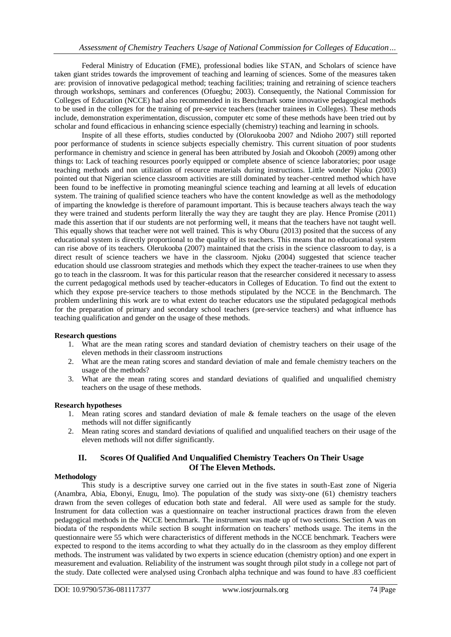Federal Ministry of Education (FME), professional bodies like STAN, and Scholars of science have taken giant strides towards the improvement of teaching and learning of sciences. Some of the measures taken are: provision of innovative pedagogical method; teaching facilities; training and retraining of science teachers through workshops, seminars and conferences (Ofuegbu; 2003). Consequently, the National Commission for Colleges of Education (NCCE) had also recommended in its Benchmark some innovative pedagogical methods to be used in the colleges for the training of pre-service teachers (teacher trainees in Colleges). These methods include, demonstration experimentation, discussion, computer etc some of these methods have been tried out by scholar and found efficacious in enhancing science especially (chemistry) teaching and learning in schools.

Inspite of all these efforts, studies conducted by (Olorukooba 2007 and Ndioho 2007) still reported poor performance of students in science subjects especially chemistry. This current situation of poor students performance in chemistry and science in general has been attributed by Josiah and Okooboh (2009) among other things to: Lack of teaching resources poorly equipped or complete absence of science laboratories; poor usage teaching methods and non utilization of resource materials during instructions. Little wonder Njoku (2003) pointed out that Nigerian science classroom activities are still dominated by teacher-centred method which have been found to be ineffective in promoting meaningful science teaching and learning at all levels of education system. The training of qualified science teachers who have the content knowledge as well as the methodology of imparting the knowledge is therefore of paramount important. This is because teachers always teach the way they were trained and students perform literally the way they are taught they are play. Hence Promise (2011) made this assertion that if our students are not performing well, it means that the teachers have not taught well. This equally shows that teacher were not well trained. This is why Oburu (2013) posited that the success of any educational system is directly proportional to the quality of its teachers. This means that no educational system can rise above of its teachers. Olerukooba (2007) maintained that the crisis in the science classroom to day, is a direct result of science teachers we have in the classroom. Njoku (2004) suggested that science teacher education should use classroom strategies and methods which they expect the teacher-trainees to use when they go to teach in the classroom. It was for this particular reason that the researcher considered it necessary to assess the current pedagogical methods used by teacher-educators in Colleges of Education. To find out the extent to which they expose pre-service teachers to those methods stipulated by the NCCE in the Benchmarch. The problem underlining this work are to what extent do teacher educators use the stipulated pedagogical methods for the preparation of primary and secondary school teachers (pre-service teachers) and what influence has teaching qualification and gender on the usage of these methods.

## **Research questions**

- 1. What are the mean rating scores and standard deviation of chemistry teachers on their usage of the eleven methods in their classroom instructions
- 2. What are the mean rating scores and standard deviation of male and female chemistry teachers on the usage of the methods?
- 3. What are the mean rating scores and standard deviations of qualified and unqualified chemistry teachers on the usage of these methods.

#### **Research hypotheses**

- 1. Mean rating scores and standard deviation of male & female teachers on the usage of the eleven methods will not differ significantly
- 2. Mean rating scores and standard deviations of qualified and unqualified teachers on their usage of the eleven methods will not differ significantly.

## **II. Scores Of Qualified And Unqualified Chemistry Teachers On Their Usage Of The Eleven Methods.**

#### **Methodology**

This study is a descriptive survey one carried out in the five states in south-East zone of Nigeria (Anambra, Abia, Ebonyi, Enugu, Imo). The population of the study was sixty-one (61) chemistry teachers drawn from the seven colleges of education both state and federal. All were used as sample for the study. Instrument for data collection was a questionnaire on teacher instructional practices drawn from the eleven pedagogical methods in the NCCE benchmark. The instrument was made up of two sections. Section A was on biodata of the respondents while section B sought information on teachers' methods usage. The items in the questionnaire were 55 which were characteristics of different methods in the NCCE benchmark. Teachers were expected to respond to the items according to what they actually do in the classroom as they employ different methods. The instrument was validated by two experts in science education (chemistry option) and one expert in measurement and evaluation. Reliability of the instrument was sought through pilot study in a college not part of the study. Date collected were analysed using Cronbach alpha technique and was found to have .83 coefficient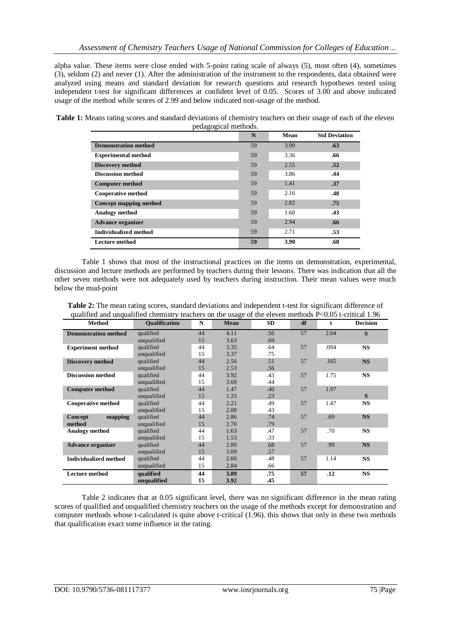alpha value. These items were close ended with 5-point rating scale of always (5), most often (4), sometimes (3), seldom (2) and never (1). After the administration of the instrument to the respondents, data obtained were analyzed using means and standard deviation for research questions and research hypotheses tested using independent t-test for significant differences at confident level of 0.05. Scores of 3.00 and above indicated usage of the method while scores of 2.99 and below indicated non-usage of the method.

| Table 1: Means rating scores and standard deviations of chemistry teachers on their usage of each of the eleven |  |
|-----------------------------------------------------------------------------------------------------------------|--|
| pedagogical methods.                                                                                            |  |

| $\mathbf{m}_\mathcal{D}$ , $\mathbf{m}_\mathcal{D}$ , $\mathbf{m}_\mathcal{D}$ | N  | Mean | <b>Std Deviation</b> |
|--------------------------------------------------------------------------------|----|------|----------------------|
| <b>Demonstration method</b>                                                    | 59 | 3.99 | .63                  |
| <b>Experimental method</b>                                                     | 59 | 3.36 | .66                  |
| <b>Discovery method</b>                                                        | 59 | 2.55 | .52                  |
| <b>Discussion method</b>                                                       | 59 | 3.86 | .44                  |
| <b>Computer method</b>                                                         | 59 | 1.41 | .37                  |
| <b>Cooperative method</b>                                                      | 59 | 2.16 | .48                  |
| <b>Concept mapping method</b>                                                  | 59 | 2.82 | .75                  |
| <b>Analogy</b> method                                                          | 59 | 1.60 | .43                  |
| <b>Advance organizer</b>                                                       | 59 | 2.94 | .66                  |
| <b>Individualized method</b>                                                   | 59 | 2.71 | .53                  |
| Lecture method                                                                 | 59 | 3.90 | .68                  |

Table 1 shows that most of the instructional practices on the items on demonstration, experimental, discussion and lecture methods are performed by teachers during their lessons. There was indication that all the other seven methods were not adequately used by teachers during instruction. Their mean values were much below the mud-point

**Table 2:** The mean rating scores, standard deviations and independent t-test for significant difference of qualified and unqualified chemistry teachers on the usage of the eleven methods P<0.05 t-critical 1.96

| <b>Method</b>                | <b>Oualification</b> | N  | Mean | <b>SD</b> | df | t    | <b>Decision</b> |
|------------------------------|----------------------|----|------|-----------|----|------|-----------------|
| <b>Demonstration method</b>  | qualified            | 44 | 4.11 | .56       | 57 | 2.64 | S               |
|                              | unqualified          | 15 | 3.63 | .69       |    |      |                 |
| <b>Experiment method</b>     | qualified            | 44 | 3.35 | .64       | 57 | .094 | <b>NS</b>       |
|                              | unqualified          | 15 | 3.37 | .75       |    |      |                 |
| <b>Discovery method</b>      | qualified            | 44 | 2.56 | .51       | 57 | .165 | <b>NS</b>       |
|                              | unqualified          | 15 | 2.53 | .56       |    |      |                 |
| <b>Discussion method</b>     | qualified            | 44 | 3.92 | .43       | 57 | 1.75 | <b>NS</b>       |
|                              | unqualified          | 15 | 3.69 | .44       |    |      |                 |
| <b>Computer method</b>       | qualified            | 44 | 1.47 | .40       | 57 | 1.97 |                 |
|                              | unqualified          | 15 | 1.25 | .23       |    |      | S               |
| <b>Cooperative method</b>    | qualified            | 44 | 2.21 | .49       | 57 | 1.47 | <b>NS</b>       |
|                              | unqualified          | 15 | 2.00 | .43       |    |      |                 |
| mapping<br>Concept           | qualified            | 44 | 2.86 | .74       | 57 | .69  | <b>NS</b>       |
| method                       | unqualified          | 15 | 2.70 | .79       |    |      |                 |
| <b>Analogy method</b>        | qualified            | 44 | 1.63 | .47       | 57 | .70  | <b>NS</b>       |
|                              | unqualified          | 15 | 1.53 | .33       |    |      |                 |
| <b>Advance organizer</b>     | qualified            | 44 | 2.89 | .68       | 57 | .99  | <b>NS</b>       |
|                              | unqualified          | 15 | 3.09 | .57       |    |      |                 |
| <b>Individualized method</b> | qualified            | 44 | 2.66 | .48       | 57 | 1.14 | <b>NS</b>       |
|                              | unqualified          | 15 | 2.84 | .66       |    |      |                 |
| <b>Lecture method</b>        | qualified            | 44 | 3.89 | .75       | 57 | .12  | <b>NS</b>       |
|                              | unqualified          | 15 | 3.92 | .45       |    |      |                 |

Table 2 indicates that at 0.05 significant level, there was no significant difference in the mean rating scores of qualified and unqualified chemistry teachers on the usage of the methods except for demonstration and computer methods whose t-calculated is quite above t-critical (1.96). this shows that only in these two methods that qualification exact some influence in the rating.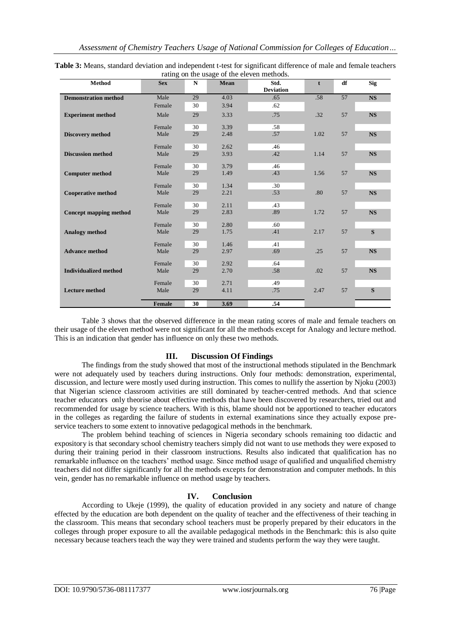| Method                        | <b>Sex</b>    | $\mathbf N$ | Mean | rating on the assige of the eleven interference<br>Std. | $\mathbf{t}$ | df | <b>Sig</b> |
|-------------------------------|---------------|-------------|------|---------------------------------------------------------|--------------|----|------------|
|                               |               |             |      | <b>Deviation</b>                                        |              |    |            |
| <b>Demonstration method</b>   | Male          | 29          | 4.03 | .65                                                     | .58          | 57 | <b>NS</b>  |
|                               | Female        | 30          | 3.94 | .62                                                     |              |    |            |
| <b>Experiment method</b>      | Male          | 29          | 3.33 | .75                                                     | .32          | 57 | <b>NS</b>  |
|                               | Female        | 30          | 3.39 | .58                                                     |              |    |            |
| <b>Discovery method</b>       | Male          | 29          | 2.48 | .57                                                     | 1.02         | 57 | <b>NS</b>  |
|                               | Female        | 30          | 2.62 | .46                                                     |              |    |            |
| <b>Discussion method</b>      | Male          | 29          | 3.93 | .42                                                     | 1.14         | 57 | <b>NS</b>  |
|                               | Female        | 30          | 3.79 | .46                                                     |              |    |            |
| <b>Computer method</b>        | Male          | 29          | 1.49 | .43                                                     | 1.56         | 57 | <b>NS</b>  |
|                               | Female        | 30          | 1.34 | .30                                                     |              |    |            |
| <b>Cooperative method</b>     | Male          | 29          | 2.21 | .53                                                     | .80          | 57 | <b>NS</b>  |
|                               | Female        | 30          | 2.11 | .43                                                     |              |    |            |
| <b>Concept mapping method</b> | Male          | 29          | 2.83 | .89                                                     | 1.72         | 57 | <b>NS</b>  |
|                               | Female        | 30          | 2.80 | .60                                                     |              |    |            |
| <b>Analogy</b> method         | Male          | 29          | 1.75 | .41                                                     | 2.17         | 57 | S          |
|                               | Female        | 30          | 1.46 | .41                                                     |              |    |            |
| <b>Advance method</b>         | Male          | 29          | 2.97 | .69                                                     | .25          | 57 | <b>NS</b>  |
|                               | Female        | 30          | 2.92 | .64                                                     |              |    |            |
| <b>Individualized method</b>  | Male          | 29          | 2.70 | .58                                                     | .02          | 57 | <b>NS</b>  |
|                               | Female        | 30          | 2.71 | .49                                                     |              |    |            |
| <b>Lecture method</b>         | Male          | 29          | 4.11 | .75                                                     | 2.47         | 57 | S          |
|                               | <b>Female</b> | 30          | 3.69 | .54                                                     |              |    |            |

**Table 3:** Means, standard deviation and independent t-test for significant difference of male and female teachers rating on the usage of the eleven methods.

Table 3 shows that the observed difference in the mean rating scores of male and female teachers on their usage of the eleven method were not significant for all the methods except for Analogy and lecture method. This is an indication that gender has influence on only these two methods.

## **III. Discussion Of Findings**

The findings from the study showed that most of the instructional methods stipulated in the Benchmark were not adequately used by teachers during instructions. Only four methods: demonstration, experimental, discussion, and lecture were mostly used during instruction. This comes to nullify the assertion by Njoku (2003) that Nigerian science classroom activities are still dominated by teacher-centred methods. And that science teacher educators only theorise about effective methods that have been discovered by researchers, tried out and recommended for usage by science teachers. With is this, blame should not be apportioned to teacher educators in the colleges as regarding the failure of students in external examinations since they actually expose preservice teachers to some extent to innovative pedagogical methods in the benchmark.

The problem behind teaching of sciences in Nigeria secondary schools remaining too didactic and expository is that secondary school chemistry teachers simply did not want to use methods they were exposed to during their training period in their classroom instructions. Results also indicated that qualification has no remarkable influence on the teachers' method usage. Since method usage of qualified and unqualified chemistry teachers did not differ significantly for all the methods excepts for demonstration and computer methods. In this vein, gender has no remarkable influence on method usage by teachers.

## **IV. Conclusion**

According to Ukeje (1999), the quality of education provided in any society and nature of change effected by the education are both dependent on the quality of teacher and the effectiveness of their teaching in the classroom. This means that secondary school teachers must be properly prepared by their educators in the colleges through proper exposure to all the available pedagogical methods in the Benchmark: this is also quite necessary because teachers teach the way they were trained and students perform the way they were taught.